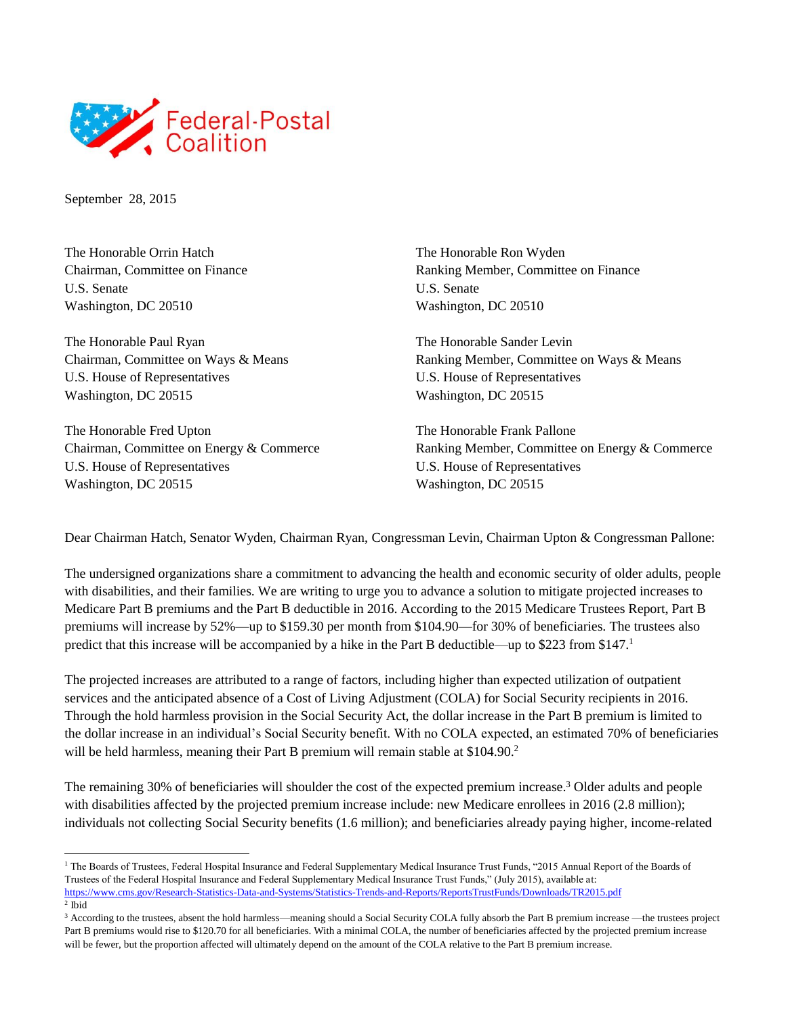

September 28, 2015

The Honorable Orrin Hatch Chairman, Committee on Finance U.S. Senate Washington, DC 20510

The Honorable Paul Ryan Chairman, Committee on Ways & Means U.S. House of Representatives Washington, DC 20515

The Honorable Fred Upton Chairman, Committee on Energy & Commerce U.S. House of Representatives Washington, DC 20515

The Honorable Ron Wyden Ranking Member, Committee on Finance U.S. Senate Washington, DC 20510

The Honorable Sander Levin Ranking Member, Committee on Ways & Means U.S. House of Representatives Washington, DC 20515

The Honorable Frank Pallone Ranking Member, Committee on Energy & Commerce U.S. House of Representatives Washington, DC 20515

Dear Chairman Hatch, Senator Wyden, Chairman Ryan, Congressman Levin, Chairman Upton & Congressman Pallone:

The undersigned organizations share a commitment to advancing the health and economic security of older adults, people with disabilities, and their families. We are writing to urge you to advance a solution to mitigate projected increases to Medicare Part B premiums and the Part B deductible in 2016. According to the 2015 Medicare Trustees Report, Part B premiums will increase by 52%—up to \$159.30 per month from \$104.90—for 30% of beneficiaries. The trustees also predict that this increase will be accompanied by a hike in the Part B deductible—up to \$223 from \$147.<sup>1</sup>

The projected increases are attributed to a range of factors, including higher than expected utilization of outpatient services and the anticipated absence of a Cost of Living Adjustment (COLA) for Social Security recipients in 2016. Through the hold harmless provision in the Social Security Act, the dollar increase in the Part B premium is limited to the dollar increase in an individual's Social Security benefit. With no COLA expected, an estimated 70% of beneficiaries will be held harmless, meaning their Part B premium will remain stable at \$104.90.<sup>2</sup>

The remaining 30% of beneficiaries will shoulder the cost of the expected premium increase.<sup>3</sup> Older adults and people with disabilities affected by the projected premium increase include: new Medicare enrollees in 2016 (2.8 million); individuals not collecting Social Security benefits (1.6 million); and beneficiaries already paying higher, income-related

l <sup>1</sup> The Boards of Trustees, Federal Hospital Insurance and Federal Supplementary Medical Insurance Trust Funds, "2015 Annual Report of the Boards of Trustees of the Federal Hospital Insurance and Federal Supplementary Medical Insurance Trust Funds," (July 2015), available at: <https://www.cms.gov/Research-Statistics-Data-and-Systems/Statistics-Trends-and-Reports/ReportsTrustFunds/Downloads/TR2015.pdf>

<sup>2</sup> Ibid

<sup>&</sup>lt;sup>3</sup> According to the trustees, absent the hold harmless—meaning should a Social Security COLA fully absorb the Part B premium increase —the trustees project Part B premiums would rise to \$120.70 for all beneficiaries. With a minimal COLA, the number of beneficiaries affected by the projected premium increase will be fewer, but the proportion affected will ultimately depend on the amount of the COLA relative to the Part B premium increase.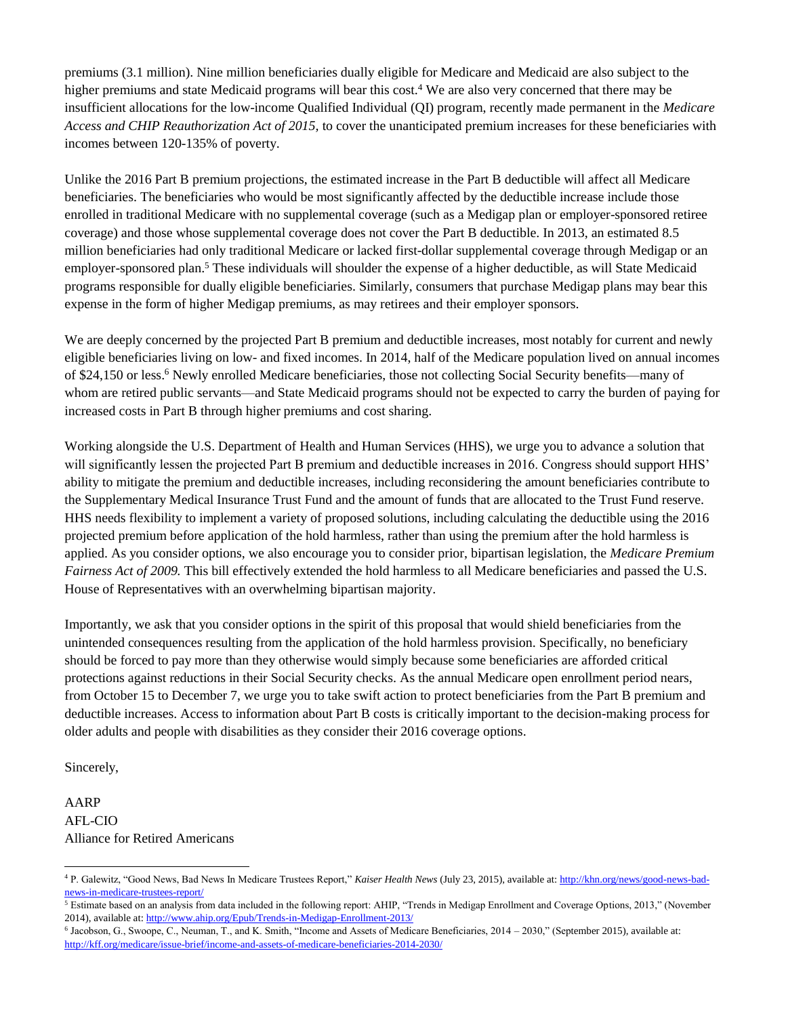premiums (3.1 million). Nine million beneficiaries dually eligible for Medicare and Medicaid are also subject to the higher premiums and state Medicaid programs will bear this cost.<sup>4</sup> We are also very concerned that there may be insufficient allocations for the low-income Qualified Individual (QI) program, recently made permanent in the *Medicare Access and CHIP Reauthorization Act of 2015,* to cover the unanticipated premium increases for these beneficiaries with incomes between 120-135% of poverty.

Unlike the 2016 Part B premium projections, the estimated increase in the Part B deductible will affect all Medicare beneficiaries. The beneficiaries who would be most significantly affected by the deductible increase include those enrolled in traditional Medicare with no supplemental coverage (such as a Medigap plan or employer-sponsored retiree coverage) and those whose supplemental coverage does not cover the Part B deductible. In 2013, an estimated 8.5 million beneficiaries had only traditional Medicare or lacked first-dollar supplemental coverage through Medigap or an employer-sponsored plan.<sup>5</sup> These individuals will shoulder the expense of a higher deductible, as will State Medicaid programs responsible for dually eligible beneficiaries. Similarly, consumers that purchase Medigap plans may bear this expense in the form of higher Medigap premiums, as may retirees and their employer sponsors.

We are deeply concerned by the projected Part B premium and deductible increases, most notably for current and newly eligible beneficiaries living on low- and fixed incomes. In 2014, half of the Medicare population lived on annual incomes of \$24,150 or less.<sup>6</sup> Newly enrolled Medicare beneficiaries, those not collecting Social Security benefits—many of whom are retired public servants—and State Medicaid programs should not be expected to carry the burden of paying for increased costs in Part B through higher premiums and cost sharing.

Working alongside the U.S. Department of Health and Human Services (HHS), we urge you to advance a solution that will significantly lessen the projected Part B premium and deductible increases in 2016. Congress should support HHS' ability to mitigate the premium and deductible increases, including reconsidering the amount beneficiaries contribute to the Supplementary Medical Insurance Trust Fund and the amount of funds that are allocated to the Trust Fund reserve. HHS needs flexibility to implement a variety of proposed solutions, including calculating the deductible using the 2016 projected premium before application of the hold harmless, rather than using the premium after the hold harmless is applied. As you consider options, we also encourage you to consider prior, bipartisan legislation, the *Medicare Premium Fairness Act of 2009.* This bill effectively extended the hold harmless to all Medicare beneficiaries and passed the U.S. House of Representatives with an overwhelming bipartisan majority.

Importantly, we ask that you consider options in the spirit of this proposal that would shield beneficiaries from the unintended consequences resulting from the application of the hold harmless provision. Specifically, no beneficiary should be forced to pay more than they otherwise would simply because some beneficiaries are afforded critical protections against reductions in their Social Security checks. As the annual Medicare open enrollment period nears, from October 15 to December 7, we urge you to take swift action to protect beneficiaries from the Part B premium and deductible increases. Access to information about Part B costs is critically important to the decision-making process for older adults and people with disabilities as they consider their 2016 coverage options.

Sincerely,

l

AARP AFL-CIO Alliance for Retired Americans

<sup>4</sup> P. Galewitz, "Good News, Bad News In Medicare Trustees Report," *Kaiser Health News* (July 23, 2015), available at[: http://khn.org/news/good-news-bad](http://khn.org/news/good-news-bad-news-in-medicare-trustees-report/)[news-in-medicare-trustees-report/](http://khn.org/news/good-news-bad-news-in-medicare-trustees-report/)

<sup>5</sup> Estimate based on an analysis from data included in the following report: AHIP, "Trends in Medigap Enrollment and Coverage Options, 2013," (November 2014), available at[: http://www.ahip.org/Epub/Trends-in-Medigap-Enrollment-2013/](http://www.ahip.org/Epub/Trends-in-Medigap-Enrollment-2013/) 

<sup>6</sup> Jacobson, G., Swoope, C., Neuman, T., and K. Smith, "Income and Assets of Medicare Beneficiaries, 2014 – 2030," (September 2015), available at: <http://kff.org/medicare/issue-brief/income-and-assets-of-medicare-beneficiaries-2014-2030/>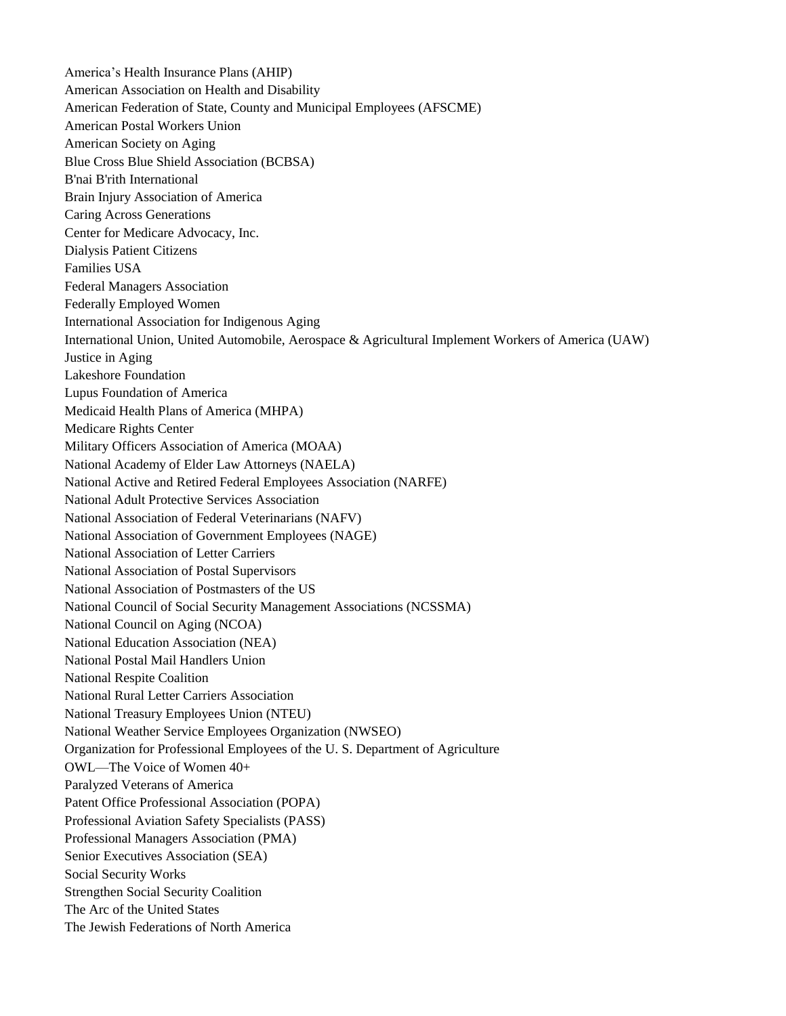America's Health Insurance Plans (AHIP) American Association on Health and Disability American Federation of State, County and Municipal Employees (AFSCME) American Postal Workers Union American Society on Aging Blue Cross Blue Shield Association (BCBSA) B'nai B'rith International Brain Injury Association of America Caring Across Generations Center for Medicare Advocacy, Inc. Dialysis Patient Citizens Families USA Federal Managers Association Federally Employed Women International Association for Indigenous Aging International Union, United Automobile, Aerospace & Agricultural Implement Workers of America (UAW) Justice in Aging Lakeshore Foundation Lupus Foundation of America Medicaid Health Plans of America (MHPA) Medicare Rights Center Military Officers Association of America (MOAA) National Academy of Elder Law Attorneys (NAELA) National Active and Retired Federal Employees Association (NARFE) National Adult Protective Services Association National Association of Federal Veterinarians (NAFV) National Association of Government Employees (NAGE) National Association of Letter Carriers National Association of Postal Supervisors National Association of Postmasters of the US National Council of Social Security Management Associations (NCSSMA) National Council on Aging (NCOA) National Education Association (NEA) National Postal Mail Handlers Union National Respite Coalition National Rural Letter Carriers Association National Treasury Employees Union (NTEU) National Weather Service Employees Organization (NWSEO) Organization for Professional Employees of the U. S. Department of Agriculture OWL—The Voice of Women 40+ Paralyzed Veterans of America Patent Office Professional Association (POPA) Professional Aviation Safety Specialists (PASS) Professional Managers Association (PMA) Senior Executives Association (SEA) Social Security Works Strengthen Social Security Coalition The Arc of the United States The Jewish Federations of North America